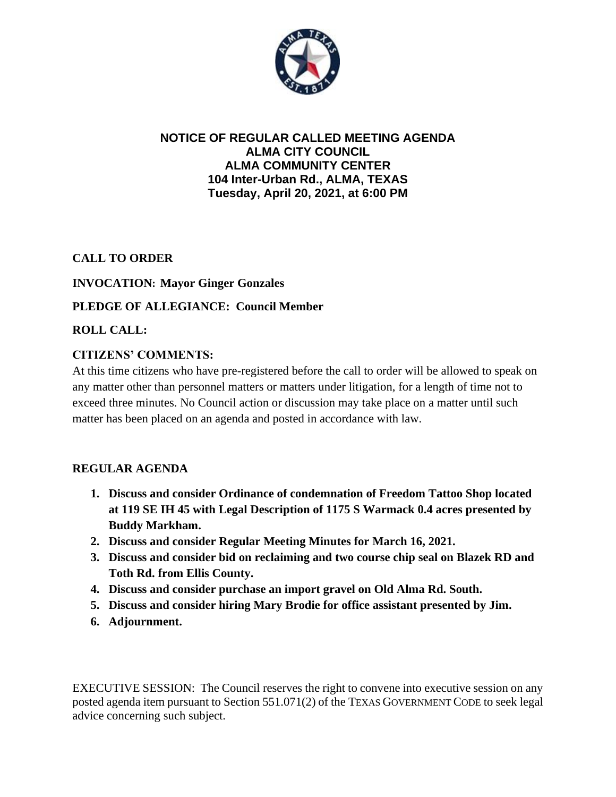

#### **NOTICE OF REGULAR CALLED MEETING AGENDA ALMA CITY COUNCIL ALMA COMMUNITY CENTER 104 Inter-Urban Rd., ALMA, TEXAS Tuesday, April 20, 2021, at 6:00 PM**

**CALL TO ORDER**

## **INVOCATION: Mayor Ginger Gonzales**

## **PLEDGE OF ALLEGIANCE: Council Member**

**ROLL CALL:**

## **CITIZENS' COMMENTS:**

At this time citizens who have pre-registered before the call to order will be allowed to speak on any matter other than personnel matters or matters under litigation, for a length of time not to exceed three minutes. No Council action or discussion may take place on a matter until such matter has been placed on an agenda and posted in accordance with law.

# **REGULAR AGENDA**

- **1. Discuss and consider Ordinance of condemnation of Freedom Tattoo Shop located at 119 SE IH 45 with Legal Description of 1175 S Warmack 0.4 acres presented by Buddy Markham.**
- **2. Discuss and consider Regular Meeting Minutes for March 16, 2021.**
- **3. Discuss and consider bid on reclaiming and two course chip seal on Blazek RD and Toth Rd. from Ellis County.**
- **4. Discuss and consider purchase an import gravel on Old Alma Rd. South.**
- **5. Discuss and consider hiring Mary Brodie for office assistant presented by Jim.**
- **6. Adjournment.**

EXECUTIVE SESSION: The Council reserves the right to convene into executive session on any posted agenda item pursuant to Section 551.071(2) of the TEXAS GOVERNMENT CODE to seek legal advice concerning such subject.